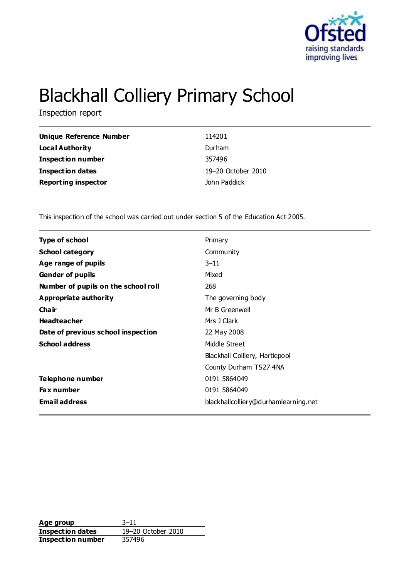

# Blackhall Colliery Primary School

Inspection report

| Unique Reference Number    | 114201             |
|----------------------------|--------------------|
| Local Authority            | Durham             |
| <b>Inspection number</b>   | 357496             |
| <b>Inspection dates</b>    | 19-20 October 2010 |
| <b>Reporting inspector</b> | John Paddick       |

This inspection of the school was carried out under section 5 of the Education Act 2005.

| <b>Type of school</b>               | Primary                              |
|-------------------------------------|--------------------------------------|
| <b>School category</b>              | Community                            |
| Age range of pupils                 | $3 - 11$                             |
| <b>Gender of pupils</b>             | Mixed                                |
| Number of pupils on the school roll | 268                                  |
| Appropriate authority               | The governing body                   |
| Cha ir                              | Mr B Greenwell                       |
| <b>Headteacher</b>                  | Mrs J Clark                          |
| Date of previous school inspection  | 22 May 2008                          |
| <b>School address</b>               | Middle Street                        |
|                                     | Blackhall Colliery, Hartlepool       |
|                                     | County Durham TS27 4NA               |
| Telephone number                    | 0191 5864049                         |
| <b>Fax number</b>                   | 0191 5864049                         |
| <b>Email address</b>                | blackhallcolliery@durhamlearning.net |
|                                     |                                      |

**Age group** 3-11<br> **Inspection dates** 19-20 October 2010 **Inspection dates Inspection number** 357496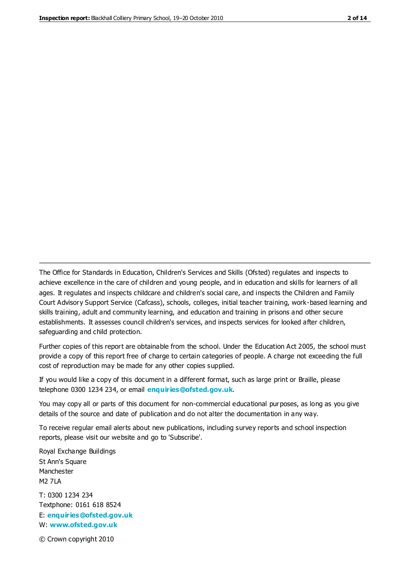The Office for Standards in Education, Children's Services and Skills (Ofsted) regulates and inspects to achieve excellence in the care of children and young people, and in education and skills for learners of all ages. It regulates and inspects childcare and children's social care, and inspects the Children and Family Court Advisory Support Service (Cafcass), schools, colleges, initial teacher training, work-based learning and skills training, adult and community learning, and education and training in prisons and other secure establishments. It assesses council children's services, and inspects services for looked after children, safeguarding and child protection.

Further copies of this report are obtainable from the school. Under the Education Act 2005, the school must provide a copy of this report free of charge to certain categories of people. A charge not exceeding the full cost of reproduction may be made for any other copies supplied.

If you would like a copy of this document in a different format, such as large print or Braille, please telephone 0300 1234 234, or email **[enquiries@ofsted.gov.uk](mailto:enquiries@ofsted.gov.uk)**.

You may copy all or parts of this document for non-commercial educational purposes, as long as you give details of the source and date of publication and do not alter the documentation in any way.

To receive regular email alerts about new publications, including survey reports and school inspection reports, please visit our website and go to 'Subscribe'.

Royal Exchange Buildings St Ann's Square Manchester M2 7LA T: 0300 1234 234 Textphone: 0161 618 8524 E: **[enquiries@ofsted.gov.uk](mailto:enquiries@ofsted.gov.uk)** W: **[www.ofsted.gov.uk](http://www.ofsted.gov.uk/)**

© Crown copyright 2010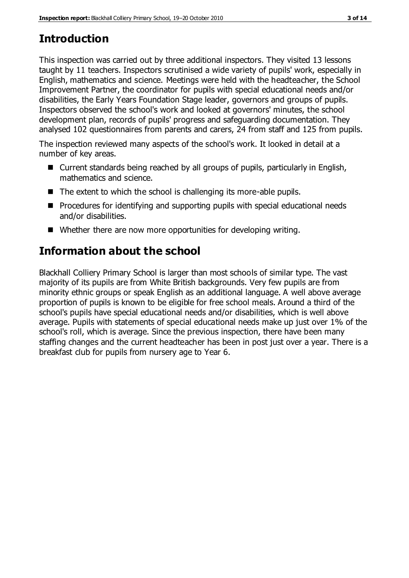# **Introduction**

This inspection was carried out by three additional inspectors. They visited 13 lessons taught by 11 teachers. Inspectors scrutinised a wide variety of pupils' work, especially in English, mathematics and science. Meetings were held with the headteacher, the School Improvement Partner, the coordinator for pupils with special educational needs and/or disabilities, the Early Years Foundation Stage leader, governors and groups of pupils. Inspectors observed the school's work and looked at governors' minutes, the school development plan, records of pupils' progress and safeguarding documentation. They analysed 102 questionnaires from parents and carers, 24 from staff and 125 from pupils.

The inspection reviewed many aspects of the school's work. It looked in detail at a number of key areas.

- Current standards being reached by all groups of pupils, particularly in English, mathematics and science.
- The extent to which the school is challenging its more-able pupils.
- **Procedures for identifying and supporting pupils with special educational needs** and/or disabilities.
- Whether there are now more opportunities for developing writing.

# **Information about the school**

Blackhall Colliery Primary School is larger than most schools of similar type. The vast majority of its pupils are from White British backgrounds. Very few pupils are from minority ethnic groups or speak English as an additional language. A well above average proportion of pupils is known to be eligible for free school meals. Around a third of the school's pupils have special educational needs and/or disabilities, which is well above average. Pupils with statements of special educational needs make up just over 1% of the school's roll, which is average. Since the previous inspection, there have been many staffing changes and the current headteacher has been in post just over a year. There is a breakfast club for pupils from nursery age to Year 6.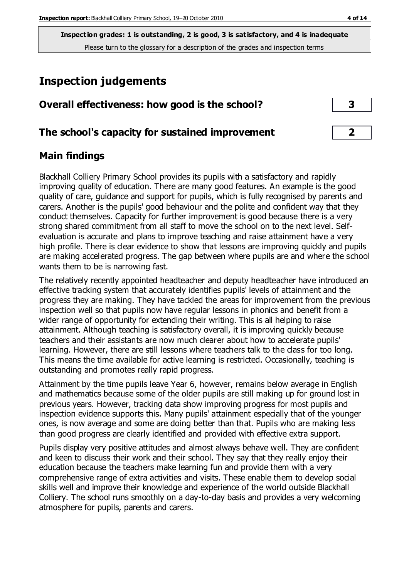**Inspection grades: 1 is outstanding, 2 is good, 3 is satisfactory, and 4 is inadequate** Please turn to the glossary for a description of the grades and inspection terms

## **Inspection judgements**

| Overall effectiveness: how good is the school? |  |
|------------------------------------------------|--|
|------------------------------------------------|--|

## **The school's capacity for sustained improvement 2**

## **Main findings**

Blackhall Colliery Primary School provides its pupils with a satisfactory and rapidly improving quality of education. There are many good features. An example is the good quality of care, guidance and support for pupils, which is fully recognised by parents and carers. Another is the pupils' good behaviour and the polite and confident way that they conduct themselves. Capacity for further improvement is good because there is a very strong shared commitment from all staff to move the school on to the next level. Selfevaluation is accurate and plans to improve teaching and raise attainment have a very high profile. There is clear evidence to show that lessons are improving quickly and pupils are making accelerated progress. The gap between where pupils are and where the school wants them to be is narrowing fast.

The relatively recently appointed headteacher and deputy headteacher have introduced an effective tracking system that accurately identifies pupils' levels of attainment and the progress they are making. They have tackled the areas for improvement from the previous inspection well so that pupils now have regular lessons in phonics and benefit from a wider range of opportunity for extending their writing. This is all helping to raise attainment. Although teaching is satisfactory overall, it is improving quickly because teachers and their assistants are now much clearer about how to accelerate pupils' learning. However, there are still lessons where teachers talk to the class for too long. This means the time available for active learning is restricted. Occasionally, teaching is outstanding and promotes really rapid progress.

Attainment by the time pupils leave Year 6, however, remains below average in English and mathematics because some of the older pupils are still making up for ground lost in previous years. However, tracking data show improving progress for most pupils and inspection evidence supports this. Many pupils' attainment especially that of the younger ones, is now average and some are doing better than that. Pupils who are making less than good progress are clearly identified and provided with effective extra support.

Pupils display very positive attitudes and almost always behave well. They are confident and keen to discuss their work and their school. They say that they really enjoy their education because the teachers make learning fun and provide them with a very comprehensive range of extra activities and visits. These enable them to develop social skills well and improve their knowledge and experience of the world outside Blackhall Colliery. The school runs smoothly on a day-to-day basis and provides a very welcoming atmosphere for pupils, parents and carers.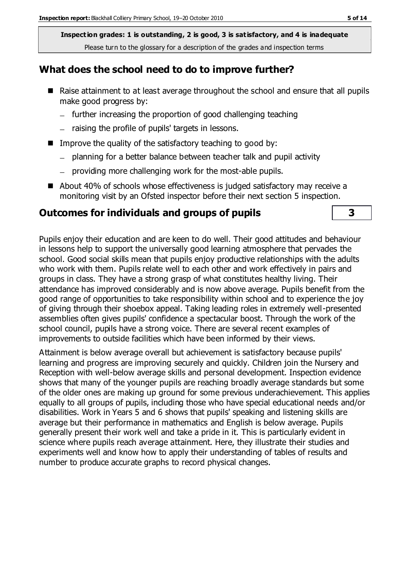**Inspection grades: 1 is outstanding, 2 is good, 3 is satisfactory, and 4 is inadequate** Please turn to the glossary for a description of the grades and inspection terms

#### **What does the school need to do to improve further?**

- Raise attainment to at least average throughout the school and ensure that all pupils make good progress by:
	- further increasing the proportion of good challenging teaching
	- $-$  raising the profile of pupils' targets in lessons.
- Improve the quality of the satisfactory teaching to good by:
	- planning for a better balance between teacher talk and pupil activity
	- providing more challenging work for the most-able pupils.
- About 40% of schools whose effectiveness is judged satisfactory may receive a monitoring visit by an Ofsted inspector before their next section 5 inspection.

#### **Outcomes for individuals and groups of pupils 3**

Pupils enjoy their education and are keen to do well. Their good attitudes and behaviour in lessons help to support the universally good learning atmosphere that pervades the school. Good social skills mean that pupils enjoy productive relationships with the adults who work with them. Pupils relate well to each other and work effectively in pairs and groups in class. They have a strong grasp of what constitutes healthy living. Their attendance has improved considerably and is now above average. Pupils benefit from the good range of opportunities to take responsibility within school and to experience the joy of giving through their shoebox appeal. Taking leading roles in extremely well-presented assemblies often gives pupils' confidence a spectacular boost. Through the work of the school council, pupils have a strong voice. There are several recent examples of improvements to outside facilities which have been informed by their views.

Attainment is below average overall but achievement is satisfactory because pupils' learning and progress are improving securely and quickly. Children join the Nursery and Reception with well-below average skills and personal development. Inspection evidence shows that many of the younger pupils are reaching broadly average standards but some of the older ones are making up ground for some previous underachievement. This applies equally to all groups of pupils, including those who have special educational needs and/or disabilities. Work in Years 5 and 6 shows that pupils' speaking and listening skills are average but their performance in mathematics and English is below average. Pupils generally present their work well and take a pride in it. This is particularly evident in science where pupils reach average attainment. Here, they illustrate their studies and experiments well and know how to apply their understanding of tables of results and number to produce accurate graphs to record physical changes.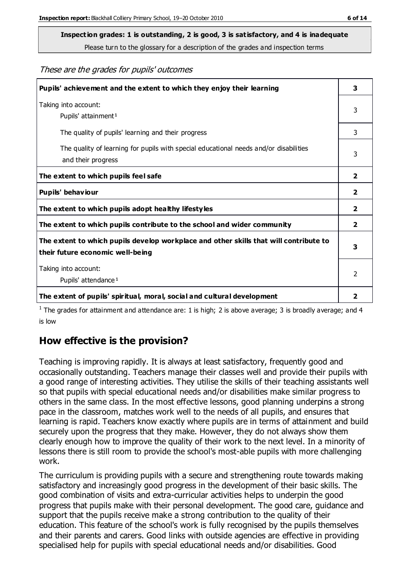**Inspection grades: 1 is outstanding, 2 is good, 3 is satisfactory, and 4 is inadequate**

Please turn to the glossary for a description of the grades and inspection terms

These are the grades for pupils' outcomes

| Pupils' achievement and the extent to which they enjoy their learning                                                     | 3                       |
|---------------------------------------------------------------------------------------------------------------------------|-------------------------|
| Taking into account:<br>Pupils' attainment <sup>1</sup>                                                                   | 3                       |
| The quality of pupils' learning and their progress                                                                        | 3                       |
| The quality of learning for pupils with special educational needs and/or disabilities<br>and their progress               | 3                       |
| The extent to which pupils feel safe                                                                                      | 2                       |
| Pupils' behaviour                                                                                                         | 2                       |
| The extent to which pupils adopt healthy lifestyles                                                                       | $\overline{\mathbf{2}}$ |
| The extent to which pupils contribute to the school and wider community                                                   | 2                       |
| The extent to which pupils develop workplace and other skills that will contribute to<br>their future economic well-being | 3                       |
| Taking into account:<br>Pupils' attendance <sup>1</sup>                                                                   | $\mathfrak{p}$          |
| The extent of pupils' spiritual, moral, social and cultural development                                                   | 2                       |

<sup>1</sup> The grades for attainment and attendance are: 1 is high; 2 is above average; 3 is broadly average; and 4 is low

## **How effective is the provision?**

Teaching is improving rapidly. It is always at least satisfactory, frequently good and occasionally outstanding. Teachers manage their classes well and provide their pupils with a good range of interesting activities. They utilise the skills of their teaching assistants well so that pupils with special educational needs and/or disabilities make similar progress to others in the same class. In the most effective lessons, good planning underpins a strong pace in the classroom, matches work well to the needs of all pupils, and ensures that learning is rapid. Teachers know exactly where pupils are in terms of attainment and build securely upon the progress that they make. However, they do not always show them clearly enough how to improve the quality of their work to the next level. In a minority of lessons there is still room to provide the school's most-able pupils with more challenging work.

The curriculum is providing pupils with a secure and strengthening route towards making satisfactory and increasingly good progress in the development of their basic skills. The good combination of visits and extra-curricular activities helps to underpin the good progress that pupils make with their personal development. The good care, guidance and support that the pupils receive make a strong contribution to the quality of their education. This feature of the school's work is fully recognised by the pupils themselves and their parents and carers. Good links with outside agencies are effective in providing specialised help for pupils with special educational needs and/or disabilities. Good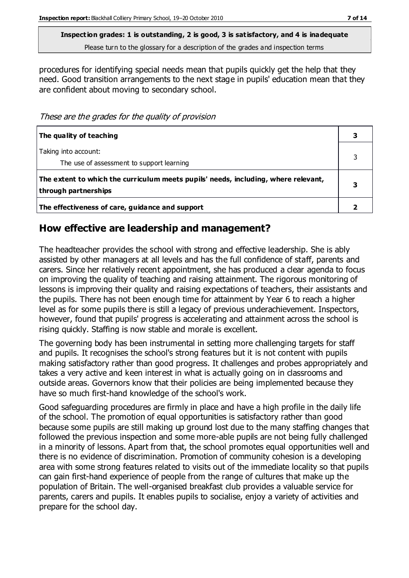**Inspection grades: 1 is outstanding, 2 is good, 3 is satisfactory, and 4 is inadequate** Please turn to the glossary for a description of the grades and inspection terms

procedures for identifying special needs mean that pupils quickly get the help that they need. Good transition arrangements to the next stage in pupils' education mean that they are confident about moving to secondary school.

These are the grades for the quality of provision

| The quality of teaching                                                                                    |   |
|------------------------------------------------------------------------------------------------------------|---|
| Taking into account:<br>The use of assessment to support learning                                          |   |
| The extent to which the curriculum meets pupils' needs, including, where relevant,<br>through partnerships | 3 |
| The effectiveness of care, guidance and support                                                            |   |

## **How effective are leadership and management?**

The headteacher provides the school with strong and effective leadership. She is ably assisted by other managers at all levels and has the full confidence of staff, parents and carers. Since her relatively recent appointment, she has produced a clear agenda to focus on improving the quality of teaching and raising attainment. The rigorous monitoring of lessons is improving their quality and raising expectations of teachers, their assistants and the pupils. There has not been enough time for attainment by Year 6 to reach a higher level as for some pupils there is still a legacy of previous underachievement. Inspectors, however, found that pupils' progress is accelerating and attainment across the school is rising quickly. Staffing is now stable and morale is excellent.

The governing body has been instrumental in setting more challenging targets for staff and pupils. It recognises the school's strong features but it is not content with pupils making satisfactory rather than good progress. It challenges and probes appropriately and takes a very active and keen interest in what is actually going on in classrooms and outside areas. Governors know that their policies are being implemented because they have so much first-hand knowledge of the school's work.

Good safeguarding procedures are firmly in place and have a high profile in the daily life of the school. The promotion of equal opportunities is satisfactory rather than good because some pupils are still making up ground lost due to the many staffing changes that followed the previous inspection and some more-able pupils are not being fully challenged in a minority of lessons. Apart from that, the school promotes equal opportunities well and there is no evidence of discrimination. Promotion of community cohesion is a developing area with some strong features related to visits out of the immediate locality so that pupils can gain first-hand experience of people from the range of cultures that make up the population of Britain. The well-organised breakfast club provides a valuable service for parents, carers and pupils. It enables pupils to socialise, enjoy a variety of activities and prepare for the school day.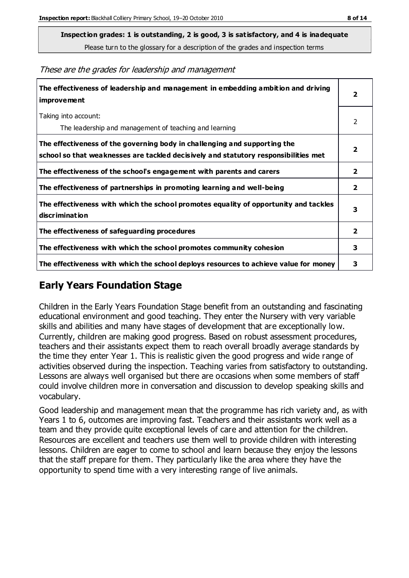**Inspection grades: 1 is outstanding, 2 is good, 3 is satisfactory, and 4 is inadequate**

Please turn to the glossary for a description of the grades and inspection terms

|  |  |  |  | These are the grades for leadership and management |
|--|--|--|--|----------------------------------------------------|
|--|--|--|--|----------------------------------------------------|

| The effectiveness of leadership and management in embedding ambition and driving<br>improvement                                                                  | $\overline{\mathbf{2}}$ |
|------------------------------------------------------------------------------------------------------------------------------------------------------------------|-------------------------|
| Taking into account:<br>The leadership and management of teaching and learning                                                                                   | $\mathcal{P}$           |
| The effectiveness of the governing body in challenging and supporting the<br>school so that weaknesses are tackled decisively and statutory responsibilities met | $\overline{2}$          |
| The effectiveness of the school's engagement with parents and carers                                                                                             | $\overline{2}$          |
| The effectiveness of partnerships in promoting learning and well-being                                                                                           | $\mathbf{2}$            |
| The effectiveness with which the school promotes equality of opportunity and tackles<br><b>discrimination</b>                                                    | 3                       |
| The effectiveness of safeguarding procedures                                                                                                                     | $\overline{2}$          |
| The effectiveness with which the school promotes community cohesion                                                                                              | 3                       |
| The effectiveness with which the school deploys resources to achieve value for money                                                                             | 3                       |

#### **Early Years Foundation Stage**

Children in the Early Years Foundation Stage benefit from an outstanding and fascinating educational environment and good teaching. They enter the Nursery with very variable skills and abilities and many have stages of development that are exceptionally low. Currently, children are making good progress. Based on robust assessment procedures, teachers and their assistants expect them to reach overall broadly average standards by the time they enter Year 1. This is realistic given the good progress and wide range of activities observed during the inspection. Teaching varies from satisfactory to outstanding. Lessons are always well organised but there are occasions when some members of staff could involve children more in conversation and discussion to develop speaking skills and vocabulary.

Good leadership and management mean that the programme has rich variety and, as with Years 1 to 6, outcomes are improving fast. Teachers and their assistants work well as a team and they provide quite exceptional levels of care and attention for the children. Resources are excellent and teachers use them well to provide children with interesting lessons. Children are eager to come to school and learn because they enjoy the lessons that the staff prepare for them. They particularly like the area where they have the opportunity to spend time with a very interesting range of live animals.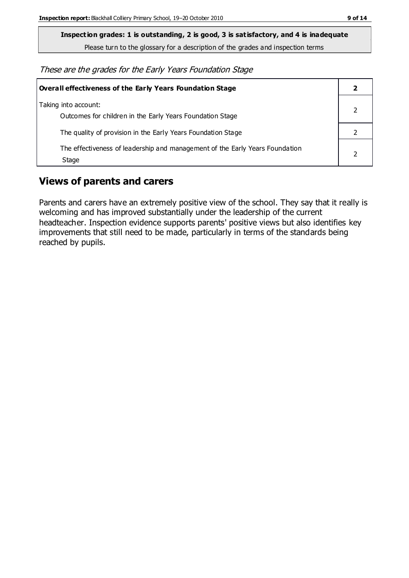**Inspection grades: 1 is outstanding, 2 is good, 3 is satisfactory, and 4 is inadequate**

Please turn to the glossary for a description of the grades and inspection terms

These are the grades for the Early Years Foundation Stage

| Overall effectiveness of the Early Years Foundation Stage                             |  |
|---------------------------------------------------------------------------------------|--|
| Taking into account:<br>Outcomes for children in the Early Years Foundation Stage     |  |
| The quality of provision in the Early Years Foundation Stage                          |  |
| The effectiveness of leadership and management of the Early Years Foundation<br>Stage |  |

## **Views of parents and carers**

Parents and carers have an extremely positive view of the school. They say that it really is welcoming and has improved substantially under the leadership of the current headteacher. Inspection evidence supports parents' positive views but also identifies key improvements that still need to be made, particularly in terms of the standards being reached by pupils.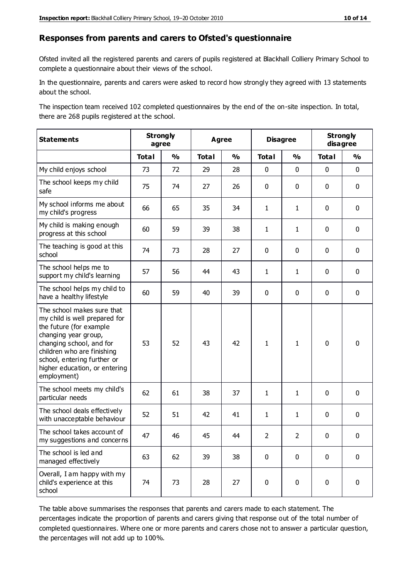#### **Responses from parents and carers to Ofsted's questionnaire**

Ofsted invited all the registered parents and carers of pupils registered at Blackhall Colliery Primary School to complete a questionnaire about their views of the school.

In the questionnaire, parents and carers were asked to record how strongly they agreed with 13 statements about the school.

The inspection team received 102 completed questionnaires by the end of the on-site inspection. In total, there are 268 pupils registered at the school.

| <b>Statements</b>                                                                                                                                                                                                                                       | <b>Strongly</b><br>agree |               | <b>Agree</b> |               | <b>Disagree</b> |               | <b>Strongly</b><br>disagree |               |
|---------------------------------------------------------------------------------------------------------------------------------------------------------------------------------------------------------------------------------------------------------|--------------------------|---------------|--------------|---------------|-----------------|---------------|-----------------------------|---------------|
|                                                                                                                                                                                                                                                         | <b>Total</b>             | $\frac{1}{2}$ | <b>Total</b> | $\frac{1}{2}$ | <b>Total</b>    | $\frac{1}{2}$ | <b>Total</b>                | $\frac{1}{2}$ |
| My child enjoys school                                                                                                                                                                                                                                  | 73                       | 72            | 29           | 28            | 0               | $\mathbf 0$   | $\mathbf 0$                 | $\mathbf 0$   |
| The school keeps my child<br>safe                                                                                                                                                                                                                       | 75                       | 74            | 27           | 26            | 0               | $\mathbf 0$   | $\mathbf 0$                 | $\mathbf 0$   |
| My school informs me about<br>my child's progress                                                                                                                                                                                                       | 66                       | 65            | 35           | 34            | $\mathbf{1}$    | $\mathbf{1}$  | $\mathbf 0$                 | $\mathbf 0$   |
| My child is making enough<br>progress at this school                                                                                                                                                                                                    | 60                       | 59            | 39           | 38            | $\mathbf{1}$    | 1             | $\mathbf 0$                 | $\mathbf 0$   |
| The teaching is good at this<br>school                                                                                                                                                                                                                  | 74                       | 73            | 28           | 27            | 0               | $\mathbf 0$   | $\mathbf 0$                 | $\mathbf 0$   |
| The school helps me to<br>support my child's learning                                                                                                                                                                                                   | 57                       | 56            | 44           | 43            | $\mathbf{1}$    | 1             | $\mathbf 0$                 | $\mathbf 0$   |
| The school helps my child to<br>have a healthy lifestyle                                                                                                                                                                                                | 60                       | 59            | 40           | 39            | 0               | $\mathbf 0$   | $\mathbf 0$                 | $\mathbf 0$   |
| The school makes sure that<br>my child is well prepared for<br>the future (for example<br>changing year group,<br>changing school, and for<br>children who are finishing<br>school, entering further or<br>higher education, or entering<br>employment) | 53                       | 52            | 43           | 42            | $\mathbf{1}$    | $\mathbf{1}$  | $\mathbf 0$                 | $\mathbf 0$   |
| The school meets my child's<br>particular needs                                                                                                                                                                                                         | 62                       | 61            | 38           | 37            | $\mathbf{1}$    | 1             | $\mathbf 0$                 | $\mathbf 0$   |
| The school deals effectively<br>with unacceptable behaviour                                                                                                                                                                                             | 52                       | 51            | 42           | 41            | $\mathbf{1}$    | $\mathbf{1}$  | $\mathbf 0$                 | $\pmb{0}$     |
| The school takes account of<br>my suggestions and concerns                                                                                                                                                                                              | 47                       | 46            | 45           | 44            | $\mathcal{P}$   | $\mathcal{P}$ | $\Omega$                    | 0             |
| The school is led and<br>managed effectively                                                                                                                                                                                                            | 63                       | 62            | 39           | 38            | $\mathbf 0$     | $\mathbf 0$   | $\mathbf 0$                 | $\mathbf 0$   |
| Overall, I am happy with my<br>child's experience at this<br>school                                                                                                                                                                                     | 74                       | 73            | 28           | 27            | $\pmb{0}$       | $\mathbf 0$   | $\mathbf 0$                 | $\pmb{0}$     |

The table above summarises the responses that parents and carers made to each statement. The percentages indicate the proportion of parents and carers giving that response out of the total number of completed questionnaires. Where one or more parents and carers chose not to answer a particular question, the percentages will not add up to 100%.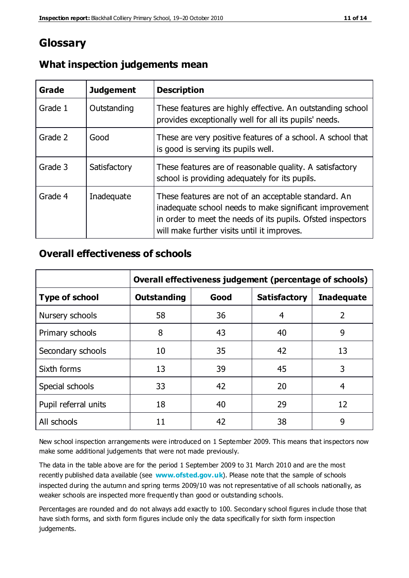## **Glossary**

| Grade   | <b>Judgement</b> | <b>Description</b>                                                                                                                                                                                                            |
|---------|------------------|-------------------------------------------------------------------------------------------------------------------------------------------------------------------------------------------------------------------------------|
| Grade 1 | Outstanding      | These features are highly effective. An outstanding school<br>provides exceptionally well for all its pupils' needs.                                                                                                          |
| Grade 2 | Good             | These are very positive features of a school. A school that<br>is good is serving its pupils well.                                                                                                                            |
| Grade 3 | Satisfactory     | These features are of reasonable quality. A satisfactory<br>school is providing adequately for its pupils.                                                                                                                    |
| Grade 4 | Inadequate       | These features are not of an acceptable standard. An<br>inadequate school needs to make significant improvement<br>in order to meet the needs of its pupils. Ofsted inspectors<br>will make further visits until it improves. |

#### **What inspection judgements mean**

## **Overall effectiveness of schools**

|                       | Overall effectiveness judgement (percentage of schools)                |    |    |    |
|-----------------------|------------------------------------------------------------------------|----|----|----|
| <b>Type of school</b> | Good<br><b>Outstanding</b><br><b>Satisfactory</b><br><b>Inadequate</b> |    |    |    |
| Nursery schools       | 58                                                                     | 36 | 4  | 2  |
| Primary schools       | 8                                                                      | 43 | 40 | 9  |
| Secondary schools     | 10                                                                     | 35 | 42 | 13 |
| Sixth forms           | 13                                                                     | 39 | 45 | 3  |
| Special schools       | 33                                                                     | 42 | 20 | 4  |
| Pupil referral units  | 18                                                                     | 40 | 29 | 12 |
| All schools           | 11                                                                     | 42 | 38 | 9  |

New school inspection arrangements were introduced on 1 September 2009. This means that inspectors now make some additional judgements that were not made previously.

The data in the table above are for the period 1 September 2009 to 31 March 2010 and are the most recently published data available (see **[www.ofsted.gov.uk](http://www.ofsted.gov.uk/)**). Please note that the sample of schools inspected during the autumn and spring terms 2009/10 was not representative of all schools nationally, as weaker schools are inspected more frequently than good or outstanding schools.

Percentages are rounded and do not always add exactly to 100. Secondary school figures in clude those that have sixth forms, and sixth form figures include only the data specifically for sixth form inspection judgements.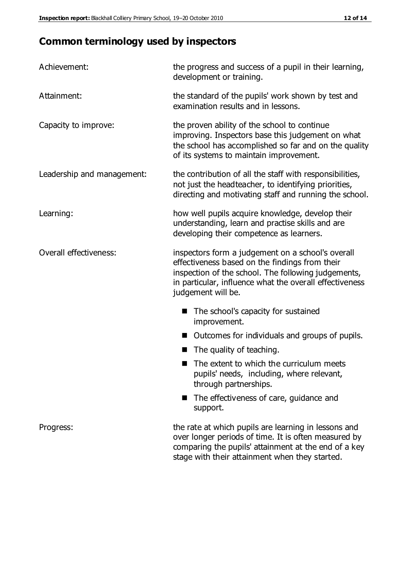# **Common terminology used by inspectors**

| Achievement:                  | the progress and success of a pupil in their learning,<br>development or training.                                                                                                                                                          |  |  |
|-------------------------------|---------------------------------------------------------------------------------------------------------------------------------------------------------------------------------------------------------------------------------------------|--|--|
| Attainment:                   | the standard of the pupils' work shown by test and<br>examination results and in lessons.                                                                                                                                                   |  |  |
| Capacity to improve:          | the proven ability of the school to continue<br>improving. Inspectors base this judgement on what<br>the school has accomplished so far and on the quality<br>of its systems to maintain improvement.                                       |  |  |
| Leadership and management:    | the contribution of all the staff with responsibilities,<br>not just the headteacher, to identifying priorities,<br>directing and motivating staff and running the school.                                                                  |  |  |
| Learning:                     | how well pupils acquire knowledge, develop their<br>understanding, learn and practise skills and are<br>developing their competence as learners.                                                                                            |  |  |
| <b>Overall effectiveness:</b> | inspectors form a judgement on a school's overall<br>effectiveness based on the findings from their<br>inspection of the school. The following judgements,<br>in particular, influence what the overall effectiveness<br>judgement will be. |  |  |
|                               | The school's capacity for sustained<br>improvement.                                                                                                                                                                                         |  |  |
|                               | Outcomes for individuals and groups of pupils.                                                                                                                                                                                              |  |  |
|                               | The quality of teaching.                                                                                                                                                                                                                    |  |  |
|                               | The extent to which the curriculum meets<br>pupils' needs, including, where relevant,<br>through partnerships.                                                                                                                              |  |  |
|                               | The effectiveness of care, guidance and<br>support.                                                                                                                                                                                         |  |  |
| Progress:                     | the rate at which pupils are learning in lessons and<br>over longer periods of time. It is often measured by<br>comparing the pupils' attainment at the end of a key                                                                        |  |  |

stage with their attainment when they started.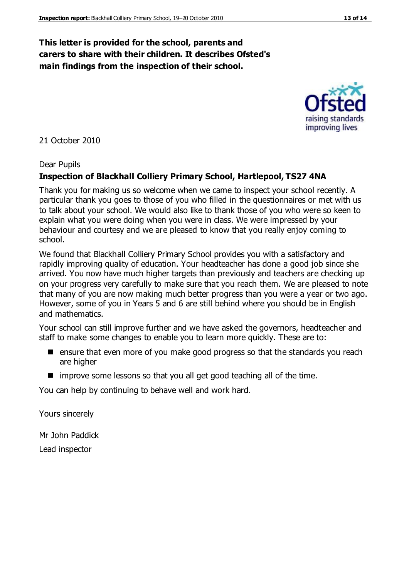## **This letter is provided for the school, parents and carers to share with their children. It describes Ofsted's main findings from the inspection of their school.**

#### 21 October 2010

#### Dear Pupils

#### **Inspection of Blackhall Colliery Primary School, Hartlepool, TS27 4NA**

Thank you for making us so welcome when we came to inspect your school recently. A particular thank you goes to those of you who filled in the questionnaires or met with us to talk about your school. We would also like to thank those of you who were so keen to explain what you were doing when you were in class. We were impressed by your behaviour and courtesy and we are pleased to know that you really enjoy coming to school.

We found that Blackhall Colliery Primary School provides you with a satisfactory and rapidly improving quality of education. Your headteacher has done a good job since she arrived. You now have much higher targets than previously and teachers are checking up on your progress very carefully to make sure that you reach them. We are pleased to note that many of you are now making much better progress than you were a year or two ago. However, some of you in Years 5 and 6 are still behind where you should be in English and mathematics.

Your school can still improve further and we have asked the governors, headteacher and staff to make some changes to enable you to learn more quickly. These are to:

- ensure that even more of you make good progress so that the standards you reach are higher
- improve some lessons so that you all get good teaching all of the time.

You can help by continuing to behave well and work hard.

Yours sincerely

Mr John Paddick Lead inspector